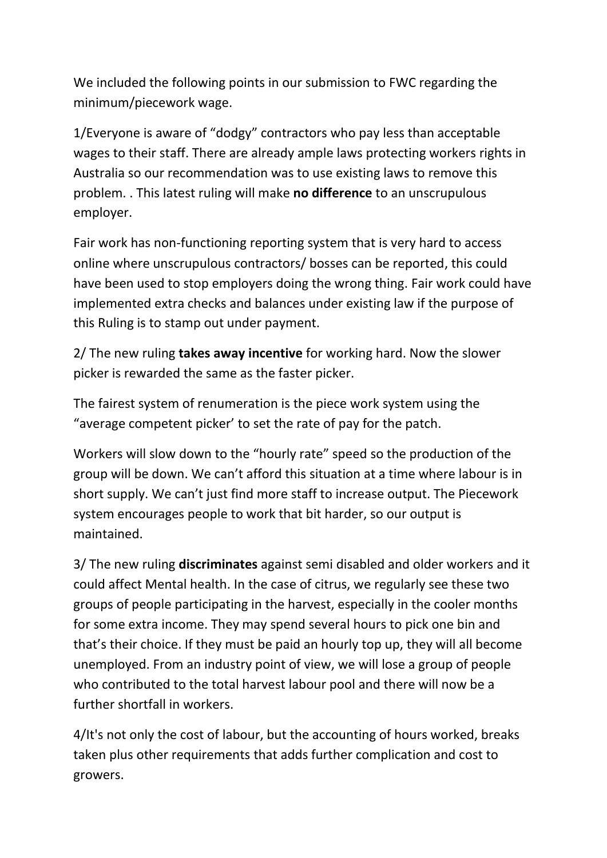We included the following points in our submission to FWC regarding the minimum/piecework wage.

1/Everyone is aware of "dodgy" contractors who pay less than acceptable wages to their staff. There are already ample laws protecting workers rights in Australia so our recommendation was to use existing laws to remove this problem. . This latest ruling will make **no difference** to an unscrupulous employer.

Fair work has non-functioning reporting system that is very hard to access online where unscrupulous contractors/ bosses can be reported, this could have been used to stop employers doing the wrong thing. Fair work could have implemented extra checks and balances under existing law if the purpose of this Ruling is to stamp out under payment.

2/ The new ruling **takes away incentive** for working hard. Now the slower picker is rewarded the same as the faster picker.

The fairest system of renumeration is the piece work system using the "average competent picker' to set the rate of pay for the patch.

Workers will slow down to the "hourly rate" speed so the production of the group will be down. We can't afford this situation at a time where labour is in short supply. We can't just find more staff to increase output. The Piecework system encourages people to work that bit harder, so our output is maintained.

3/ The new ruling **discriminates** against semi disabled and older workers and it could affect Mental health. In the case of citrus, we regularly see these two groups of people participating in the harvest, especially in the cooler months for some extra income. They may spend several hours to pick one bin and that's their choice. If they must be paid an hourly top up, they will all become unemployed. From an industry point of view, we will lose a group of people who contributed to the total harvest labour pool and there will now be a further shortfall in workers.

4/It's not only the cost of labour, but the accounting of hours worked, breaks taken plus other requirements that adds further complication and cost to growers.